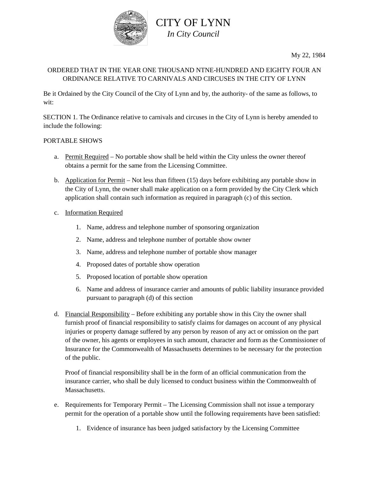

My 22, 1984

### ORDERED THAT IN THE YEAR ONE THOUSAND NTNE-HUNDRED AND EIGHTY FOUR AN ORDINANCE RELATIVE TO CARNIVALS AND CIRCUSES IN THE CITY OF LYNN

Be it Ordained by the City Council of the City of Lynn and by, the authority- of the same as follows, to wit:

SECTION 1. The Ordinance relative to carnivals and circuses in the City of Lynn is hereby amended to include the following:

#### PORTABLE SHOWS

- a. Permit Required No portable show shall be held within the City unless the owner thereof obtains a permit for the same from the Licensing Committee.
- b. Application for Permit Not less than fifteen (15) days before exhibiting any portable show in the City of Lynn, the owner shall make application on a form provided by the City Clerk which application shall contain such information as required in paragraph (c) of this section.
- c. Information Required
	- 1. Name, address and telephone number of sponsoring organization
	- 2. Name, address and telephone number of portable show owner
	- 3. Name, address and telephone number of portable show manager
	- 4. Proposed dates of portable show operation
	- 5. Proposed location of portable show operation
	- 6. Name and address of insurance carrier and amounts of public liability insurance provided pursuant to paragraph (d) of this section
- d. Financial Responsibility Before exhibiting any portable show in this City the owner shall furnish proof of financial responsibility to satisfy claims for damages on account of any physical injuries or property damage suffered by any person by reason of any act or omission on the part of the owner, his agents or employees in such amount, character and form as the Commissioner of Insurance for the Commonwealth of Massachusetts determines to be necessary for the protection of the public.

Proof of financial responsibility shall be in the form of an official communication from the insurance carrier, who shall be duly licensed to conduct business within the Commonwealth of Massachusetts.

- e. Requirements for Temporary Permit The Licensing Commission shall not issue a temporary permit for the operation of a portable show until the following requirements have been satisfied:
	- 1. Evidence of insurance has been judged satisfactory by the Licensing Committee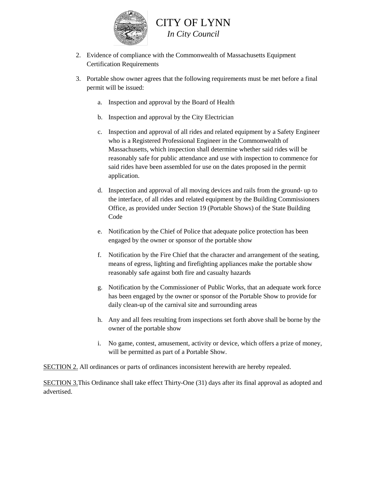

# CITY OF LYNN *In City Council*

- 2. Evidence of compliance with the Commonwealth of Massachusetts Equipment Certification Requirements
- 3. Portable show owner agrees that the following requirements must be met before a final permit will be issued:
	- a. Inspection and approval by the Board of Health
	- b. Inspection and approval by the City Electrician
	- c. Inspection and approval of all rides and related equipment by a Safety Engineer who is a Registered Professional Engineer in the Commonwealth of Massachusetts, which inspection shall determine whether said rides will be reasonably safe for public attendance and use with inspection to commence for said rides have been assembled for use on the dates proposed in the permit application.
	- d. Inspection and approval of all moving devices and rails from the ground- up to the interface, of all rides and related equipment by the Building Commissioners Office, as provided under Section 19 (Portable Shows) of the State Building Code
	- e. Notification by the Chief of Police that adequate police protection has been engaged by the owner or sponsor of the portable show
	- f. Notification by the Fire Chief that the character and arrangement of the seating, means of egress, lighting and firefighting appliances make the portable show reasonably safe against both fire and casualty hazards
	- g. Notification by the Commissioner of Public Works, that an adequate work force has been engaged by the owner or sponsor of the Portable Show to provide for daily clean-up of the carnival site and surrounding areas
	- h. Any and all fees resulting from inspections set forth above shall be borne by the owner of the portable show
	- i. No game, contest, amusement, activity or device, which offers a prize of money, will be permitted as part of a Portable Show.

SECTION 2. All ordinances or parts of ordinances inconsistent herewith are hereby repealed.

SECTION 3.This Ordinance shall take effect Thirty-One (31) days after its final approval as adopted and advertised.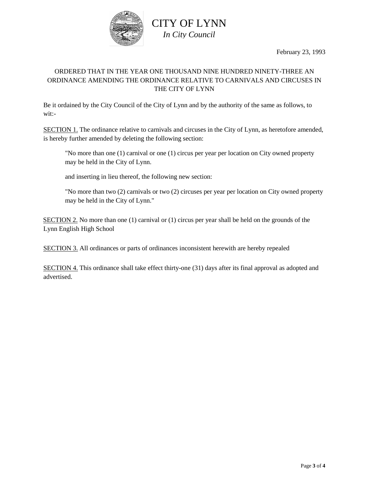

February 23, 1993

## ORDERED THAT IN THE YEAR ONE THOUSAND NINE HUNDRED NINETY-THREE AN ORDINANCE AMENDING THE ORDINANCE RELATIVE TO CARNIVALS AND CIRCUSES IN THE CITY OF LYNN

Be it ordained by the City Council of the City of Lynn and by the authority of the same as follows, to wit:-

SECTION 1. The ordinance relative to carnivals and circuses in the City of Lynn, as heretofore amended, is hereby further amended by deleting the following section:

"No more than one (1) carnival or one (1) circus per year per location on City owned property may be held in the City of Lynn.

and inserting in lieu thereof, the following new section:

"No more than two (2) carnivals or two (2) circuses per year per location on City owned property may be held in the City of Lynn."

SECTION 2. No more than one (1) carnival or (1) circus per year shall be held on the grounds of the Lynn English High School

SECTION 3. All ordinances or parts of ordinances inconsistent herewith are hereby repealed

SECTION 4. This ordinance shall take effect thirty-one (31) days after its final approval as adopted and advertised.